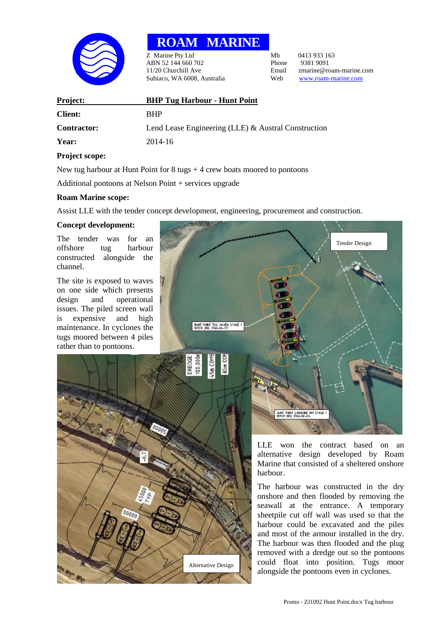

# **ROAM MARINE**

z Marine Pty Ltd Mb 0413 933 163<br>
ABN 52 144 660 702 Phone 9381 9091 ABN 52 144 660 702 Phone<br>11/20 Churchill Ave Email Subiaco, WA 6008, Australia Web [www.roam-marine.com](http://www.roam-marine.com/)

11/20 Email 21/20 Email 20 Email 20 Email 20 Email 20 Email 20 Email 20 Email 20 Email 20 Email 20 Email 20 Email 20 Email 20 Email 20 Email 20 Email 20 Email 20 Email 20 Email 20 Email 20 Email 20 Email 20 Email 20 Email

| <b>Project:</b>    | <b>BHP Tug Harbour - Hunt Point</b>                 |
|--------------------|-----------------------------------------------------|
| <b>Client:</b>     | <b>RHP</b>                                          |
| <b>Contractor:</b> | Lend Lease Engineering (LLE) & Austral Construction |
| Year:              | 2014-16                                             |

## **Project scope:**

New tug harbour at Hunt Point for  $8 \text{ tugs} + 4 \text{ crew}$  boats moored to pontoons

Additional pontoons at Nelson Point + services upgrade

## **Roam Marine scope:**

Assist LLE with the tender concept development, engineering, procurement and construction.

Alternative Design

## **Concept development:**

The tender was for an offshore tug harbour constructed alongside the channel.

The site is exposed to waves on one side which presents design and operational issues. The piled screen wall is expensive and high maintenance. In cyclones the tugs moored between 4 piles rather than to pontoons.



alternative design developed by Roam Marine that consisted of a sheltered onshore harbour.

The harbour was constructed in the dry onshore and then flooded by removing the seawall at the entrance. A temporary sheetpile cut off wall was used so that the harbour could be excavated and the piles and most of the armour installed in the dry. The harbour was then flooded and the plug removed with a dredge out so the pontoons could float into position. Tugs moor alongside the pontoons even in cyclones.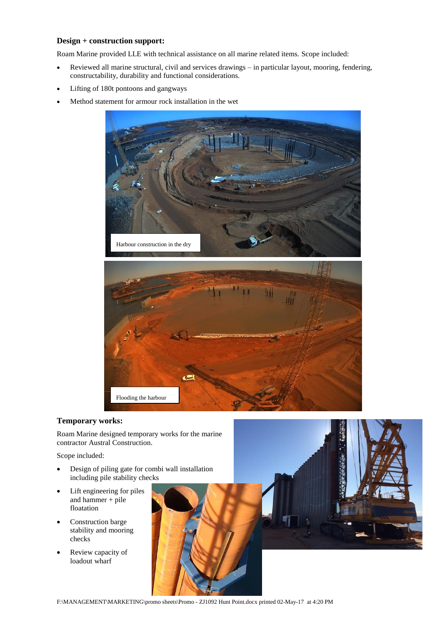#### **Design + construction support:**

Roam Marine provided LLE with technical assistance on all marine related items. Scope included:

- Reviewed all marine structural, civil and services drawings in particular layout, mooring, fendering, constructability, durability and functional considerations.
- Lifting of 180t pontoons and gangways
- Method statement for armour rock installation in the wet



#### **Temporary works:**

Roam Marine designed temporary works for the marine contractor Austral Construction.

Scope included:

- Design of piling gate for combi wall installation including pile stability checks
- Lift engineering for piles and hammer + pile floatation
- Construction barge stability and mooring checks
- Review capacity of loadout wharf



F:\MANAGEMENT\MARKETING\promo sheets\Promo - ZJ1092 Hunt Point.docx printed 02-May-17 at 4:20 PM